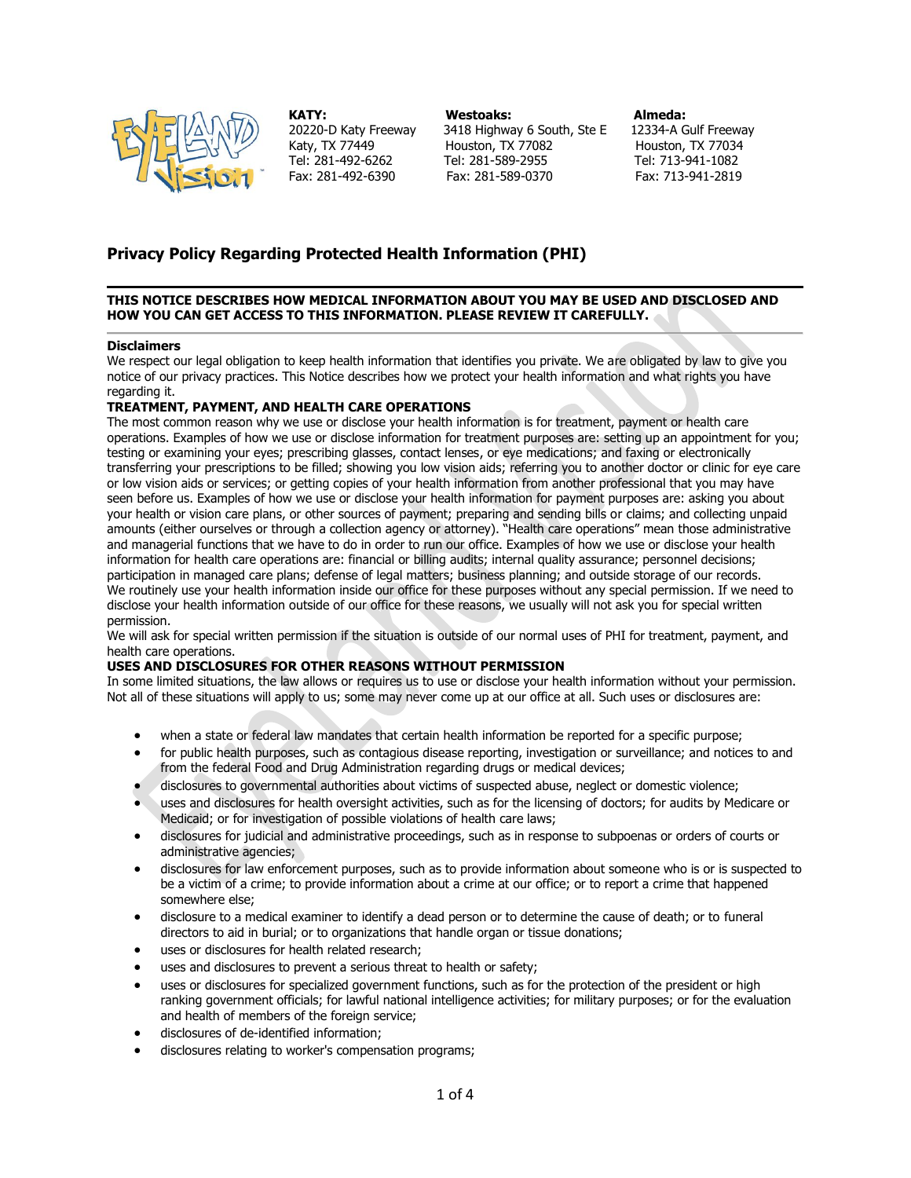

**KATY:** Westoaks: **Almeda: Almeda: Almeda: Almeda: Almeda: Almeda: Almeda: Almeda: Almeda: Almeda: Almeda: Almeda: Almeda: Almeda: Almeda: Almeda: Almeda: Almeda: Almeda: Almeda: Alm** 3418 Highway 6 South, Ste E Katy, TX 77449 Houston, TX 77082 Houston, TX 77034 Tel: 281-492-6262 Tel: 281-589-2955 Tel: 713-941-1082 Fax: 281-589-0370

# **Privacy Policy Regarding Protected Health Information (PHI)**

#### **THIS NOTICE DESCRIBES HOW MEDICAL INFORMATION ABOUT YOU MAY BE USED AND DISCLOSED AND HOW YOU CAN GET ACCESS TO THIS INFORMATION. PLEASE REVIEW IT CAREFULLY.**

#### **Disclaimers**

We respect our legal obligation to keep health information that identifies you private. We are obligated by law to give you notice of our privacy practices. This Notice describes how we protect your health information and what rights you have regarding it.

## **TREATMENT, PAYMENT, AND HEALTH CARE OPERATIONS**

The most common reason why we use or disclose your health information is for treatment, payment or health care operations. Examples of how we use or disclose information for treatment purposes are: setting up an appointment for you; testing or examining your eyes; prescribing glasses, contact lenses, or eye medications; and faxing or electronically transferring your prescriptions to be filled; showing you low vision aids; referring you to another doctor or clinic for eye care or low vision aids or services; or getting copies of your health information from another professional that you may have seen before us. Examples of how we use or disclose your health information for payment purposes are: asking you about your health or vision care plans, or other sources of payment; preparing and sending bills or claims; and collecting unpaid amounts (either ourselves or through a collection agency or attorney). "Health care operations" mean those administrative and managerial functions that we have to do in order to run our office. Examples of how we use or disclose your health information for health care operations are: financial or billing audits; internal quality assurance; personnel decisions; participation in managed care plans; defense of legal matters; business planning; and outside storage of our records. We routinely use your health information inside our office for these purposes without any special permission. If we need to disclose your health information outside of our office for these reasons, we usually will not ask you for special written permission.

We will ask for special written permission if the situation is outside of our normal uses of PHI for treatment, payment, and health care operations.

## **USES AND DISCLOSURES FOR OTHER REASONS WITHOUT PERMISSION**

In some limited situations, the law allows or requires us to use or disclose your health information without your permission. Not all of these situations will apply to us; some may never come up at our office at all. Such uses or disclosures are:

- when a state or federal law mandates that certain health information be reported for a specific purpose;
- for public health purposes, such as contagious disease reporting, investigation or surveillance; and notices to and from the federal Food and Drug Administration regarding drugs or medical devices;
- disclosures to governmental authorities about victims of suspected abuse, neglect or domestic violence;
- uses and disclosures for health oversight activities, such as for the licensing of doctors; for audits by Medicare or Medicaid; or for investigation of possible violations of health care laws;
- disclosures for judicial and administrative proceedings, such as in response to subpoenas or orders of courts or administrative agencies;
- disclosures for law enforcement purposes, such as to provide information about someone who is or is suspected to be a victim of a crime; to provide information about a crime at our office; or to report a crime that happened somewhere else;
- disclosure to a medical examiner to identify a dead person or to determine the cause of death; or to funeral directors to aid in burial; or to organizations that handle organ or tissue donations;
- uses or disclosures for health related research;
- uses and disclosures to prevent a serious threat to health or safety;
- uses or disclosures for specialized government functions, such as for the protection of the president or high ranking government officials; for lawful national intelligence activities; for military purposes; or for the evaluation and health of members of the foreign service;
- disclosures of de-identified information;
- disclosures relating to worker's compensation programs;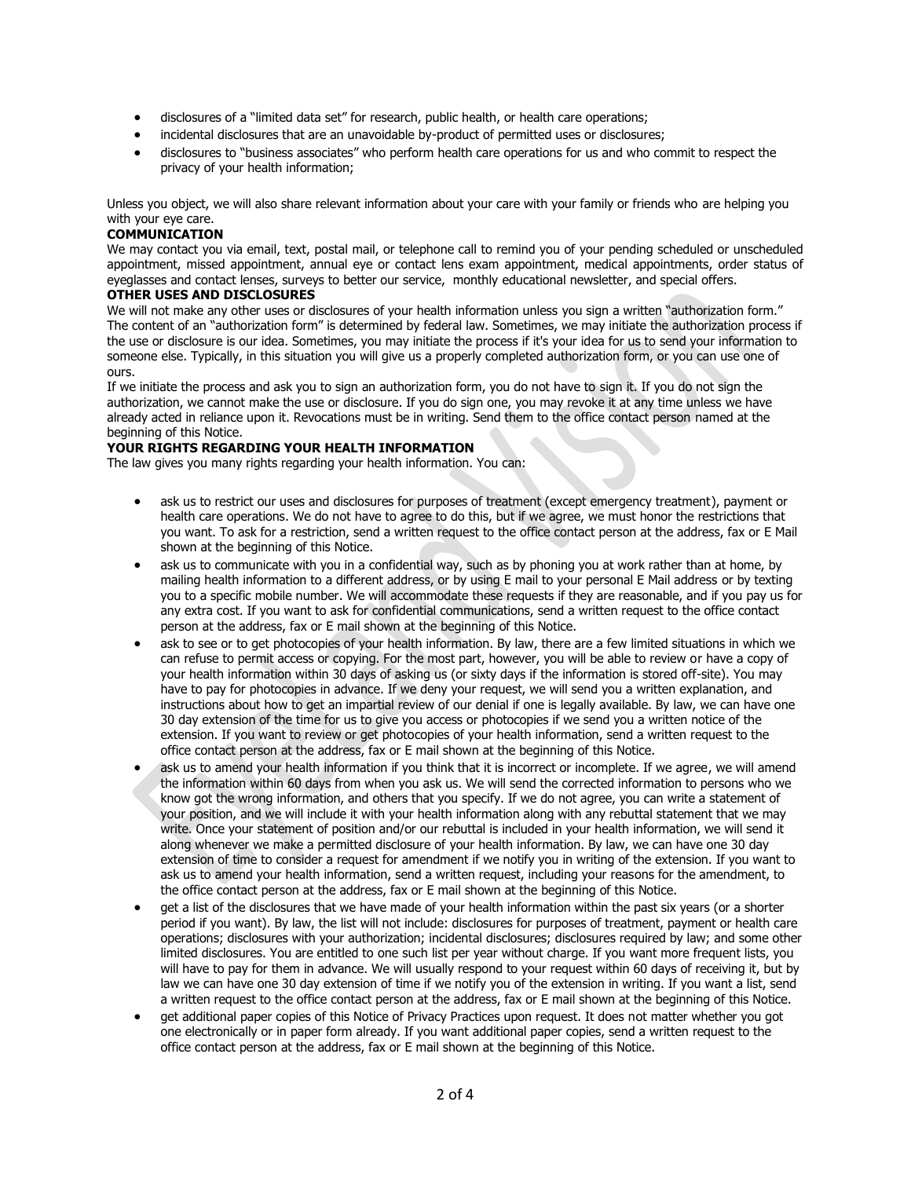- disclosures of a "limited data set" for research, public health, or health care operations;
- incidental disclosures that are an unavoidable by-product of permitted uses or disclosures;
- disclosures to "business associates" who perform health care operations for us and who commit to respect the privacy of your health information;

Unless you object, we will also share relevant information about your care with your family or friends who are helping you with your eye care.

### **COMMUNICATION**

We may contact you via email, text, postal mail, or telephone call to remind you of your pending scheduled or unscheduled appointment, missed appointment, annual eye or contact lens exam appointment, medical appointments, order status of eyeglasses and contact lenses, surveys to better our service, monthly educational newsletter, and special offers. **OTHER USES AND DISCLOSURES**

We will not make any other uses or disclosures of your health information unless you sign a written "authorization form." The content of an "authorization form" is determined by federal law. Sometimes, we may initiate the authorization process if the use or disclosure is our idea. Sometimes, you may initiate the process if it's your idea for us to send your information to someone else. Typically, in this situation you will give us a properly completed authorization form, or you can use one of ours.

If we initiate the process and ask you to sign an authorization form, you do not have to sign it. If you do not sign the authorization, we cannot make the use or disclosure. If you do sign one, you may revoke it at any time unless we have already acted in reliance upon it. Revocations must be in writing. Send them to the office contact person named at the beginning of this Notice.

#### **YOUR RIGHTS REGARDING YOUR HEALTH INFORMATION**

The law gives you many rights regarding your health information. You can:

- ask us to restrict our uses and disclosures for purposes of treatment (except emergency treatment), payment or health care operations. We do not have to agree to do this, but if we agree, we must honor the restrictions that you want. To ask for a restriction, send a written request to the office contact person at the address, fax or E Mail shown at the beginning of this Notice.
- ask us to communicate with you in a confidential way, such as by phoning you at work rather than at home, by mailing health information to a different address, or by using E mail to your personal E Mail address or by texting you to a specific mobile number. We will accommodate these requests if they are reasonable, and if you pay us for any extra cost. If you want to ask for confidential communications, send a written request to the office contact person at the address, fax or E mail shown at the beginning of this Notice.
- ask to see or to get photocopies of your health information. By law, there are a few limited situations in which we can refuse to permit access or copying. For the most part, however, you will be able to review or have a copy of your health information within 30 days of asking us (or sixty days if the information is stored off-site). You may have to pay for photocopies in advance. If we deny your request, we will send you a written explanation, and instructions about how to get an impartial review of our denial if one is legally available. By law, we can have one 30 day extension of the time for us to give you access or photocopies if we send you a written notice of the extension. If you want to review or get photocopies of your health information, send a written request to the office contact person at the address, fax or E mail shown at the beginning of this Notice.
- ask us to amend your health information if you think that it is incorrect or incomplete. If we agree, we will amend the information within 60 days from when you ask us. We will send the corrected information to persons who we know got the wrong information, and others that you specify. If we do not agree, you can write a statement of your position, and we will include it with your health information along with any rebuttal statement that we may write. Once your statement of position and/or our rebuttal is included in your health information, we will send it along whenever we make a permitted disclosure of your health information. By law, we can have one 30 day extension of time to consider a request for amendment if we notify you in writing of the extension. If you want to ask us to amend your health information, send a written request, including your reasons for the amendment, to the office contact person at the address, fax or E mail shown at the beginning of this Notice.
- get a list of the disclosures that we have made of your health information within the past six years (or a shorter period if you want). By law, the list will not include: disclosures for purposes of treatment, payment or health care operations; disclosures with your authorization; incidental disclosures; disclosures required by law; and some other limited disclosures. You are entitled to one such list per year without charge. If you want more frequent lists, you will have to pay for them in advance. We will usually respond to your request within 60 days of receiving it, but by law we can have one 30 day extension of time if we notify you of the extension in writing. If you want a list, send a written request to the office contact person at the address, fax or E mail shown at the beginning of this Notice.
- get additional paper copies of this Notice of Privacy Practices upon request. It does not matter whether you got one electronically or in paper form already. If you want additional paper copies, send a written request to the office contact person at the address, fax or E mail shown at the beginning of this Notice.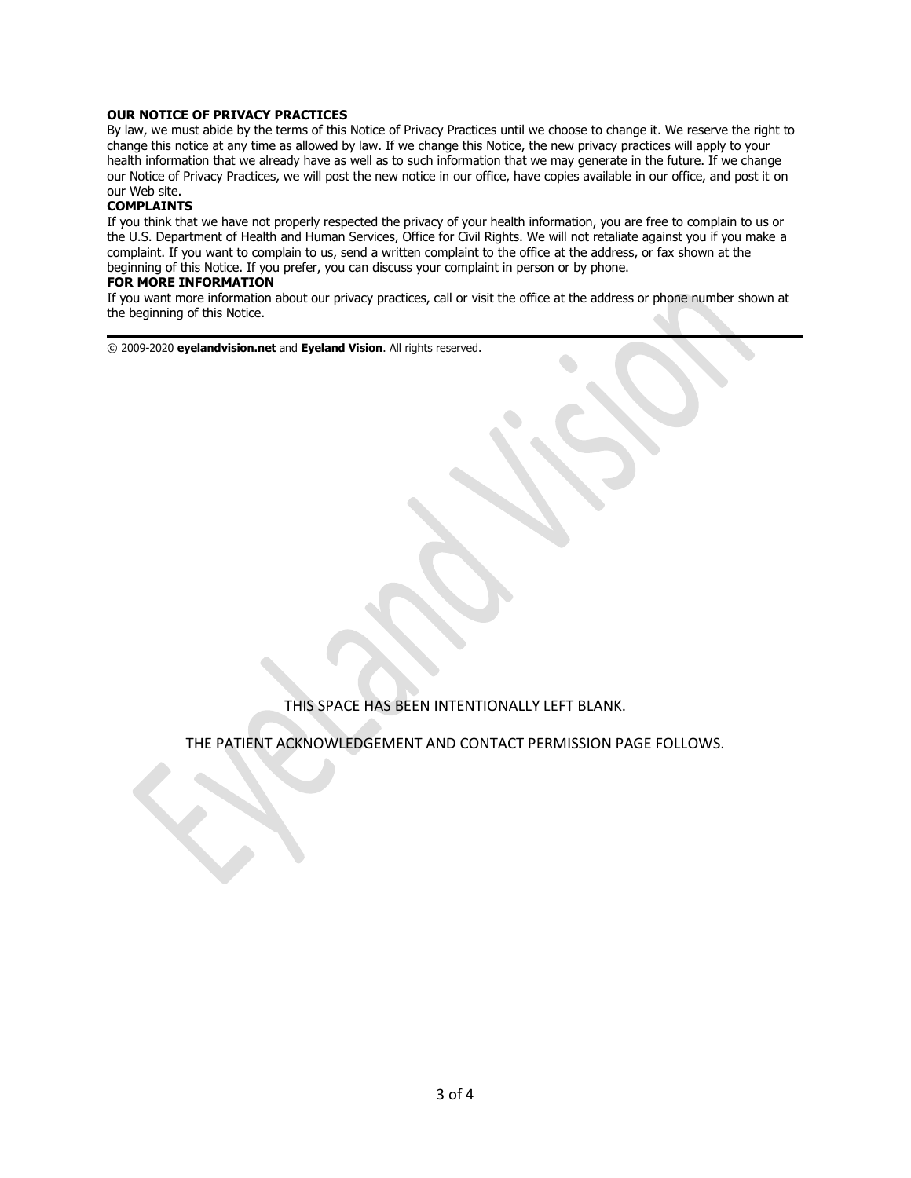#### **OUR NOTICE OF PRIVACY PRACTICES**

By law, we must abide by the terms of this Notice of Privacy Practices until we choose to change it. We reserve the right to change this notice at any time as allowed by law. If we change this Notice, the new privacy practices will apply to your health information that we already have as well as to such information that we may generate in the future. If we change our Notice of Privacy Practices, we will post the new notice in our office, have copies available in our office, and post it on our Web site.

### **COMPLAINTS**

If you think that we have not properly respected the privacy of your health information, you are free to complain to us or the U.S. Department of Health and Human Services, Office for Civil Rights. We will not retaliate against you if you make a complaint. If you want to complain to us, send a written complaint to the office at the address, or fax shown at the beginning of this Notice. If you prefer, you can discuss your complaint in person or by phone.

#### **FOR MORE INFORMATION**

If you want more information about our privacy practices, call or visit the office at the address or phone number shown at the beginning of this Notice.

© 2009-2020 **eyelandvision.net** and **Eyeland Vision**. All rights reserved.

THIS SPACE HAS BEEN INTENTIONALLY LEFT BLANK.

THE PATIENT ACKNOWLEDGEMENT AND CONTACT PERMISSION PAGE FOLLOWS.